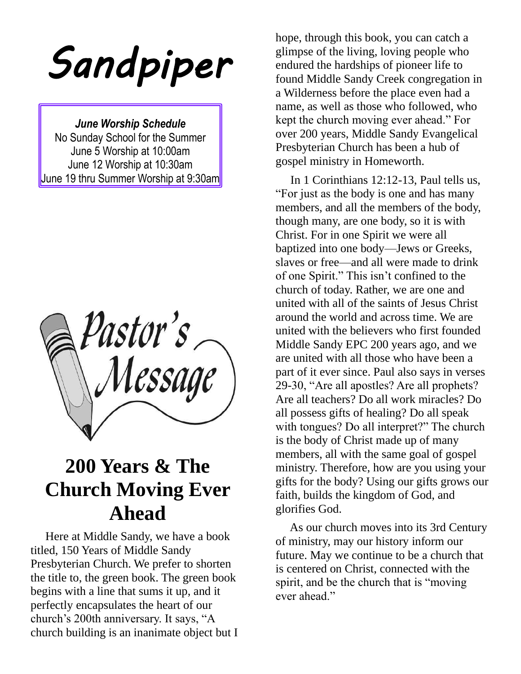*Sandpiper* 

*June Worship Schedule* No Sunday School for the Summer June 5 Worship at 10:00am June 12 Worship at 10:30am June 19 thru Summer Worship at 9:30am

Pastor's<br>\Message

# **200 Years & The Church Moving Ever Ahead**

 Here at Middle Sandy, we have a book titled, 150 Years of Middle Sandy Presbyterian Church. We prefer to shorten the title to, the green book. The green book begins with a line that sums it up, and it perfectly encapsulates the heart of our church's 200th anniversary. It says, "A church building is an inanimate object but I

hope, through this book, you can catch a glimpse of the living, loving people who endured the hardships of pioneer life to found Middle Sandy Creek congregation in a Wilderness before the place even had a name, as well as those who followed, who kept the church moving ever ahead." For over 200 years, Middle Sandy Evangelical Presbyterian Church has been a hub of gospel ministry in Homeworth.

 In 1 Corinthians 12:12-13, Paul tells us, "For just as the body is one and has many members, and all the members of the body, though many, are one body, so it is with Christ. For in one Spirit we were all baptized into one body—Jews or Greeks, slaves or free—and all were made to drink of one Spirit." This isn't confined to the church of today. Rather, we are one and united with all of the saints of Jesus Christ around the world and across time. We are united with the believers who first founded Middle Sandy EPC 200 years ago, and we are united with all those who have been a part of it ever since. Paul also says in verses 29-30, "Are all apostles? Are all prophets? Are all teachers? Do all work miracles? Do all possess gifts of healing? Do all speak with tongues? Do all interpret?" The church is the body of Christ made up of many members, all with the same goal of gospel ministry. Therefore, how are you using your gifts for the body? Using our gifts grows our faith, builds the kingdom of God, and glorifies God.

 As our church moves into its 3rd Century of ministry, may our history inform our future. May we continue to be a church that is centered on Christ, connected with the spirit, and be the church that is "moving ever ahead."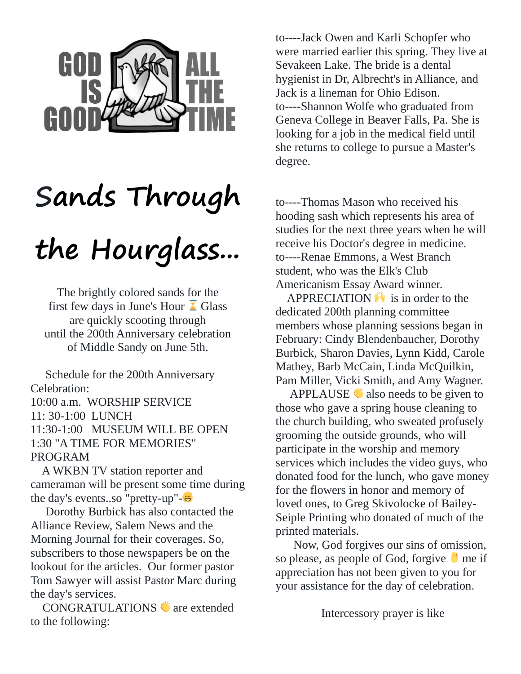

# **Sands Through**

# **the Hourglass...**

The brightly colored sands for the first few days in June's Hour  $\overline{\mathbf{A}}$  Glass are quickly scooting through until the 200th Anniversary celebration of Middle Sandy on June 5th.

 Schedule for the 200th Anniversary Celebration:

10:00 a.m. WORSHIP SERVICE 11: 30-1:00 LUNCH 11:30-1:00 MUSEUM WILL BE OPEN 1:30 "A TIME FOR MEMORIES" PROGRAM

A WKBN TV station reporter and cameraman will be present some time during the day's events..so "pretty-up"-

 Dorothy Burbick has also contacted the Alliance Review, Salem News and the Morning Journal for their coverages. So, subscribers to those newspapers be on the lookout for the articles. Our former pastor Tom Sawyer will assist Pastor Marc during the day's services.

CONGRATULATIONS are extended to the following:

to----Jack Owen and Karli Schopfer who were married earlier this spring. They live at Sevakeen Lake. The bride is a dental hygienist in Dr, Albrecht's in Alliance, and Jack is a lineman for Ohio Edison. to----Shannon Wolfe who graduated from Geneva College in Beaver Falls, Pa. She is looking for a job in the medical field until she returns to college to pursue a Master's degree.

to----Thomas Mason who received his hooding sash which represents his area of studies for the next three years when he will receive his Doctor's degree in medicine. to----Renae Emmons, a West Branch student, who was the Elk's Club Americanism Essay Award winner.

APPRECIATION  $\ddot{\bullet}$  is in order to the dedicated 200th planning committee members whose planning sessions began in February: Cindy Blendenbaucher, Dorothy Burbick, Sharon Davies, Lynn Kidd, Carole Mathey, Barb McCain, Linda McQuilkin, Pam Miller, Vicki Smith, and Amy Wagner.

APPLAUSE  $\bullet$  also needs to be given to those who gave a spring house cleaning to the church building, who sweated profusely grooming the outside grounds, who will participate in the worship and memory services which includes the video guys, who donated food for the lunch, who gave money for the flowers in honor and memory of loved ones, to Greg Skivolocke of Bailey-Seiple Printing who donated of much of the printed materials.

Now, God forgives our sins of omission, so please, as people of God, forgive  $\blacksquare$  me if appreciation has not been given to you for your assistance for the day of celebration.

Intercessory prayer is like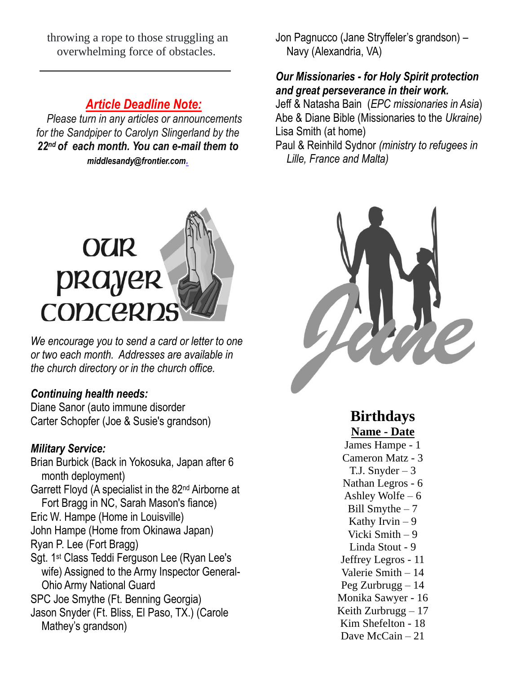throwing a rope to those struggling an overwhelming force of obstacles.

### *Article Deadline Note:*

 *Please turn in any articles or announcements for the Sandpiper to Carolyn Slingerland by the 22nd of each month. You can e-mail them to [middlesandy@frontier.com](mailto:middlesandy@frontier.com).*



*We encourage you to send a card or letter to one or two each month. Addresses are available in the church directory or in the church office.*

#### *Continuing health needs:*

Diane Sanor (auto immune disorder Carter Schopfer (Joe & Susie's grandson)

#### *Military Service:*

Brian Burbick (Back in Yokosuka, Japan after 6 month deployment) Garrett Floyd (A specialist in the 82nd Airborne at Fort Bragg in NC, Sarah Mason's fiance) Eric W. Hampe (Home in Louisville) John Hampe (Home from Okinawa Japan) Ryan P. Lee (Fort Bragg) Sgt. 1st Class Teddi Ferguson Lee (Ryan Lee's wife) Assigned to the Army Inspector General- Ohio Army National Guard SPC Joe Smythe (Ft. Benning Georgia) Jason Snyder (Ft. Bliss, El Paso, TX.) (Carole Mathey's grandson)

Jon Pagnucco (Jane Stryffeler's grandson) – Navy (Alexandria, VA)

#### *Our Missionaries - for Holy Spirit protection and great perseverance in their work.*

Jeff & Natasha Bain (*EPC missionaries in Asia*) Abe & Diane Bible (Missionaries to the *Ukraine)* Lisa Smith (at home)

Paul & Reinhild Sydnor *(ministry to refugees in Lille, France and Malta)*



### **Birthdays Name - Date**

James Hampe - 1 Cameron Matz - 3 T.J. Snyder  $-3$ Nathan Legros - 6 Ashley Wolfe  $-6$ Bill Smythe  $-7$ Kathy Irvin  $-9$ Vicki Smith – 9 Linda Stout - 9 Jeffrey Legros - 11 Valerie Smith – 14 Peg Zurbrugg – 14 Monika Sawyer - 16 Keith Zurbrugg – 17 Kim Shefelton - 18 Dave McCain – 21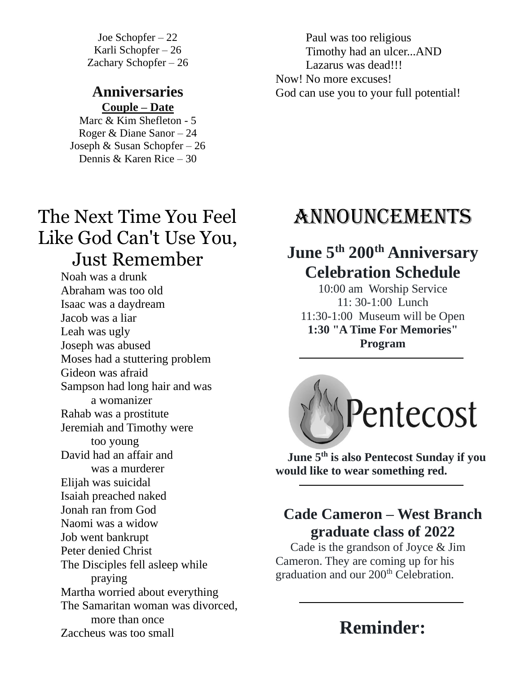Joe Schopfer – 22 Karli Schopfer – 26 Zachary Schopfer – 26

#### **Anniversaries Couple – Date**

Marc & Kim Shefleton - 5 Roger & Diane Sanor – 24 Joseph & Susan Schopfer – 26 Dennis & Karen Rice – 30

## The Next Time You Feel Like God Can't Use You, Just Remember

Noah was a drunk Abraham was too old Isaac was a daydream Jacob was a liar Leah was ugly Joseph was abused Moses had a stuttering problem Gideon was afraid Sampson had long hair and was a womanizer Rahab was a prostitute Jeremiah and Timothy were too young David had an affair and was a murderer Elijah was suicidal Isaiah preached naked Jonah ran from God Naomi was a widow Job went bankrupt Peter denied Christ The Disciples fell asleep while praying Martha worried about everything The Samaritan woman was divorced, more than once Zaccheus was too small

Paul was too religious Timothy had an ulcer...AND Lazarus was dead!!! Now! No more excuses! God can use you to your full potential!

## Announcements

## **June 5th 200th Anniversary Celebration Schedule**

10:00 am Worship Service 11: 30-1:00 Lunch 11:30-1:00 Museum will be Open **1:30 "A Time For Memories" Program**



 **June 5th is also Pentecost Sunday if you would like to wear something red.**

## **Cade Cameron – West Branch graduate class of 2022**

 Cade is the grandson of Joyce & Jim Cameron. They are coming up for his graduation and our 200<sup>th</sup> Celebration.

## **Reminder:**